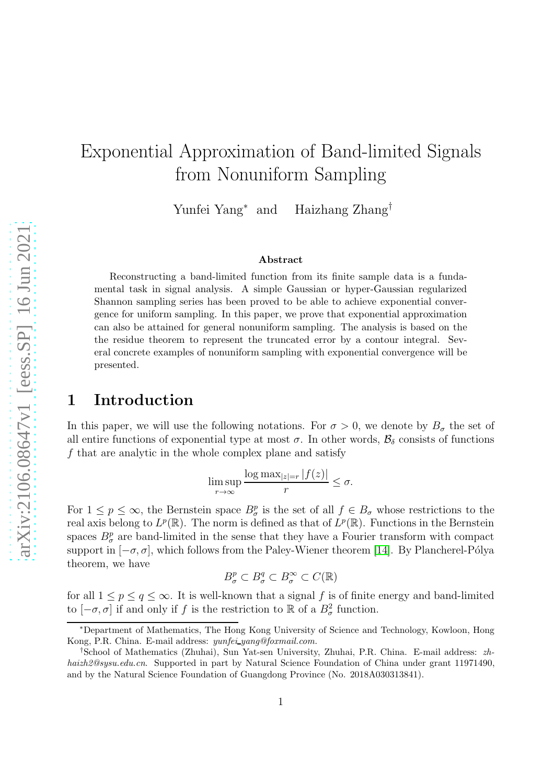# Exponential Approximation of Band-limited Signals from Nonuniform Sampling

Yunfei Yang<sup>∗</sup> Haizhang Zhang<sup>†</sup>

#### Abstract

Reconstructing a band-limited function from its finite sample data is a fundamental task in signal analysis. A simple Gaussian or hyper-Gaussian regularized Shannon sampling series has been proved to be able to achieve exponential convergence for uniform sampling. In this paper, we prove that exponential approximation can also be attained for general nonuniform sampling. The analysis is based on the the residue theorem to represent the truncated error by a contour integral. Several concrete examples of nonuniform sampling with exponential convergence will be presented.

### 1 Introduction

In this paper, we will use the following notations. For  $\sigma > 0$ , we denote by  $B_{\sigma}$  the set of all entire functions of exponential type at most  $\sigma$ . In other words,  $\mathcal{B}_{\delta}$  consists of functions f that are analytic in the whole complex plane and satisfy

$$
\limsup_{r \to \infty} \frac{\log \max_{|z|=r} |f(z)|}{r} \le \sigma.
$$

For  $1 \leq p \leq \infty$ , the Bernstein space  $B^p_\sigma$  is the set of all  $f \in B_\sigma$  whose restrictions to the real axis belong to  $L^p(\mathbb{R})$ . The norm is defined as that of  $L^p(\mathbb{R})$ . Functions in the Bernstein spaces  $B^p_{\sigma}$  are band-limited in the sense that they have a Fourier transform with compact support in  $[-\sigma, \sigma]$ , which follows from the Paley-Wiener theorem [\[14\]](#page-14-0). By Plancherel-Pólya theorem, we have

$$
B^p_\sigma \subset B^q_\sigma \subset B^\infty_\sigma \subset C(\mathbb{R})
$$

for all  $1 \leq p \leq q \leq \infty$ . It is well-known that a signal f is of finite energy and band-limited to  $[-\sigma, \sigma]$  if and only if f is the restriction to R of a  $B^2_{\sigma}$  function.

<sup>∗</sup>Department of Mathematics, The Hong Kong University of Science and Technology, Kowloon, Hong Kong, P.R. China. E-mail address: yunfei yang@foxmail.com.

<sup>†</sup>School of Mathematics (Zhuhai), Sun Yat-sen University, Zhuhai, P.R. China. E-mail address: zhhaizh2@sysu.edu.cn. Supported in part by Natural Science Foundation of China under grant 11971490, and by the Natural Science Foundation of Guangdong Province (No. 2018A030313841).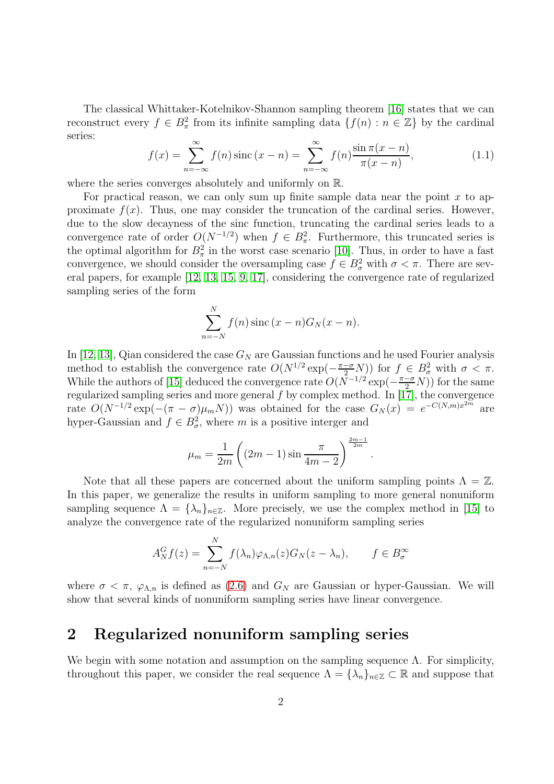The classical Whittaker-Kotelnikov-Shannon sampling theorem [\[16\]](#page-14-1) states that we can reconstruct every  $f \in B_\pi^2$  from its infinite sampling data  $\{f(n) : n \in \mathbb{Z}\}\$  by the cardinal series:

<span id="page-1-0"></span>
$$
f(x) = \sum_{n = -\infty}^{\infty} f(n) \operatorname{sinc} (x - n) = \sum_{n = -\infty}^{\infty} f(n) \frac{\sin \pi (x - n)}{\pi (x - n)},
$$
 (1.1)

where the series converges absolutely and uniformly on R.

For practical reason, we can only sum up finite sample data near the point  $x$  to approximate  $f(x)$ . Thus, one may consider the truncation of the cardinal series. However, due to the slow decayness of the sinc function, truncating the cardinal series leads to a convergence rate of order  $O(N^{-1/2})$  when  $f \in B_\pi^2$ . Furthermore, this truncated series is the optimal algorithm for  $B_{\pi}^2$  in the worst case scenario [\[10\]](#page-14-2). Thus, in order to have a fast convergence, we should consider the oversampling case  $f \in B^2_\sigma$  with  $\sigma < \pi$ . There are several papers, for example [\[12,](#page-14-3) [13,](#page-14-4) [15,](#page-14-5) [9,](#page-14-6) [17\]](#page-14-7), considering the convergence rate of regularized sampling series of the form

$$
\sum_{n=-N}^{N} f(n) \operatorname{sinc} (x - n) G_N(x - n).
$$

In [\[12,](#page-14-3) [13\]](#page-14-4), Qian considered the case  $G_N$  are Gaussian functions and he used Fourier analysis method to establish the convergence rate  $O(N^{1/2} \exp(-\frac{\pi-\sigma}{2}N))$  for  $f \in B^2_{\sigma}$  with  $\sigma < \pi$ . While the authors of [\[15\]](#page-14-5) deduced the convergence rate  $O(N^{-1/2} \exp(-\frac{\pi-\sigma}{2}N))$  for the same regularized sampling series and more general  $f$  by complex method. In [\[17\]](#page-14-7), the convergence rate  $O(N^{-1/2} \exp(-(\pi - \sigma)\mu_m N))$  was obtained for the case  $G_N(x) = e^{-C(N,m)x^{2m}}$  are hyper-Gaussian and  $f \in B^2_\sigma$ , where m is a positive interger and

$$
\mu_m = \frac{1}{2m} \left( (2m - 1) \sin \frac{\pi}{4m - 2} \right)^{\frac{2m - 1}{2m}}
$$

.

Note that all these papers are concerned about the uniform sampling points  $\Lambda = \mathbb{Z}$ . In this paper, we generalize the results in uniform sampling to more general nonuniform sampling sequence  $\Lambda = {\lambda_n}_{n \in \mathbb{Z}}$ . More precisely, we use the complex method in [\[15\]](#page-14-5) to analyze the convergence rate of the regularized nonuniform sampling series

$$
A_N^G f(z) = \sum_{n=-N}^N f(\lambda_n) \varphi_{\Lambda,n}(z) G_N(z - \lambda_n), \qquad f \in B_{\sigma}^{\infty}
$$

where  $\sigma < \pi$ ,  $\varphi_{\Lambda,n}$  is defined as [\(2.6\)](#page-2-0) and  $G_N$  are Gaussian or hyper-Gaussian. We will show that several kinds of nonuniform sampling series have linear convergence.

# 2 Regularized nonuniform sampling series

We begin with some notation and assumption on the sampling sequence  $\Lambda$ . For simplicity, throughout this paper, we consider the real sequence  $\Lambda = {\lambda_n}_{n \in \mathbb{Z}} \subset \mathbb{R}$  and suppose that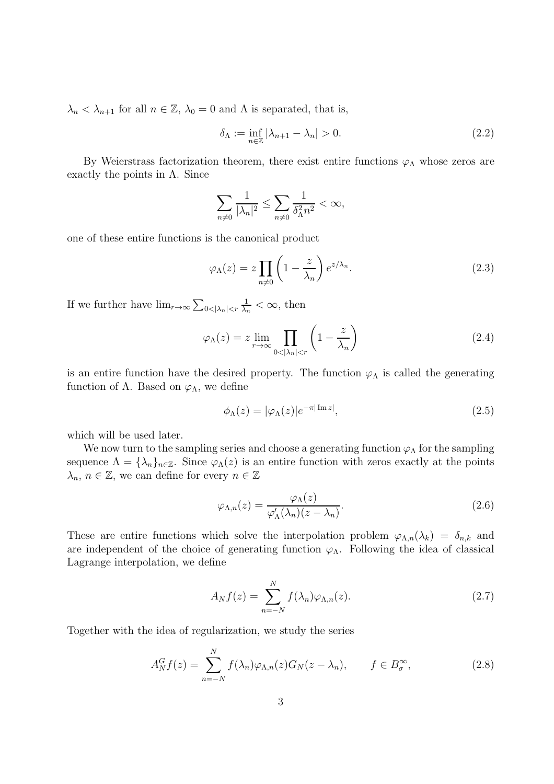$\lambda_n < \lambda_{n+1}$  for all  $n \in \mathbb{Z}$ ,  $\lambda_0 = 0$  and  $\Lambda$  is separated, that is,

<span id="page-2-3"></span>
$$
\delta_{\Lambda} := \inf_{n \in \mathbb{Z}} |\lambda_{n+1} - \lambda_n| > 0. \tag{2.2}
$$

By Weierstrass factorization theorem, there exist entire functions  $\varphi_{\Lambda}$  whose zeros are exactly the points in  $\Lambda$ . Since

$$
\sum_{n\neq 0} \frac{1}{|\lambda_n|^2} \le \sum_{n\neq 0} \frac{1}{\delta_\Lambda^2 n^2} < \infty,
$$

one of these entire functions is the canonical product

$$
\varphi_{\Lambda}(z) = z \prod_{n \neq 0} \left( 1 - \frac{z}{\lambda_n} \right) e^{z/\lambda_n}.
$$
\n(2.3)

If we further have  $\lim_{r\to\infty}\sum_{0<|\lambda_n|$ 1  $\frac{1}{\lambda_n} < \infty$ , then

<span id="page-2-4"></span>
$$
\varphi_{\Lambda}(z) = z \lim_{r \to \infty} \prod_{0 < |\lambda_n| < r} \left( 1 - \frac{z}{\lambda_n} \right) \tag{2.4}
$$

is an entire function have the desired property. The function  $\varphi_{\Lambda}$  is called the generating function of  $\Lambda$ . Based on  $\varphi_{\Lambda}$ , we define

$$
\phi_{\Lambda}(z) = |\varphi_{\Lambda}(z)|e^{-\pi|\operatorname{Im} z|},\tag{2.5}
$$

which will be used later.

We now turn to the sampling series and choose a generating function  $\varphi_{\Lambda}$  for the sampling sequence  $\Lambda = {\lambda_n}_{n \in \mathbb{Z}}$ . Since  $\varphi_{\Lambda}(z)$  is an entire function with zeros exactly at the points  $\lambda_n, n \in \mathbb{Z}$ , we can define for every  $n \in \mathbb{Z}$ 

<span id="page-2-0"></span>
$$
\varphi_{\Lambda,n}(z) = \frac{\varphi_{\Lambda}(z)}{\varphi'_{\Lambda}(\lambda_n)(z - \lambda_n)}.
$$
\n(2.6)

These are entire functions which solve the interpolation problem  $\varphi_{\Lambda,n}(\lambda_k) = \delta_{n,k}$  and are independent of the choice of generating function  $\varphi_{\Lambda}$ . Following the idea of classical Lagrange interpolation, we define

<span id="page-2-1"></span>
$$
A_N f(z) = \sum_{n=-N}^{N} f(\lambda_n) \varphi_{\Lambda,n}(z). \tag{2.7}
$$

Together with the idea of regularization, we study the series

<span id="page-2-2"></span>
$$
A_N^G f(z) = \sum_{n=-N}^N f(\lambda_n) \varphi_{\Lambda,n}(z) G_N(z - \lambda_n), \qquad f \in B_\sigma^\infty,
$$
\n(2.8)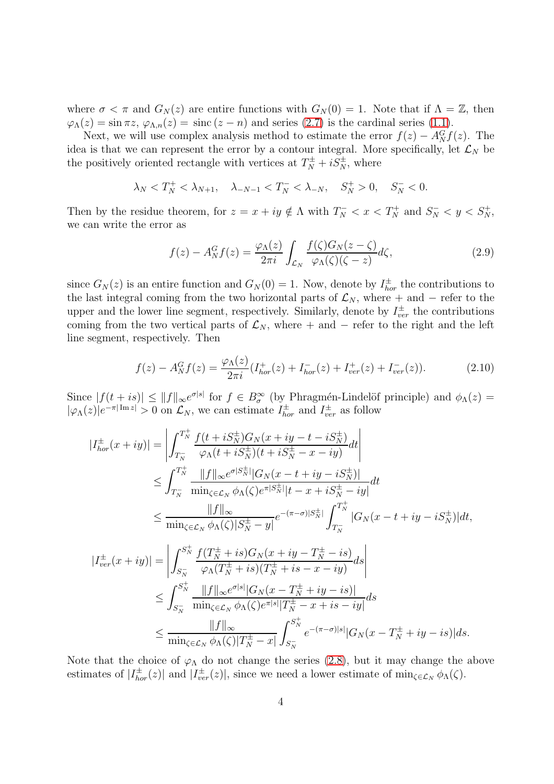where  $\sigma < \pi$  and  $G_N(z)$  are entire functions with  $G_N(0) = 1$ . Note that if  $\Lambda = \mathbb{Z}$ , then  $\varphi_{\Lambda}(z) = \sin \pi z$ ,  $\varphi_{\Lambda,n}(z) = \text{sinc}(z - n)$  and series [\(2.7\)](#page-2-1) is the cardinal series [\(1.1\)](#page-1-0).

Next, we will use complex analysis method to estimate the error  $f(z) - A_N^G f(z)$ . The idea is that we can represent the error by a contour integral. More specifically, let  $\mathcal{L}_N$  be the positively oriented rectangle with vertices at  $T_N^{\pm} + iS_N^{\pm}$ , where

$$
\lambda_N < T_N^+ < \lambda_{N+1}, \quad \lambda_{-N-1} < T_N^- < \lambda_{-N}, \quad S_N^+ > 0, \quad S_N^- < 0.
$$

Then by the residue theorem, for  $z = x + iy \notin \Lambda$  with  $T_N^- < x < T_N^+$  and  $S_N^- < y < S_N^+$ , we can write the error as

$$
f(z) - A_N^G f(z) = \frac{\varphi_\Lambda(z)}{2\pi i} \int_{\mathcal{L}_N} \frac{f(\zeta) G_N(z - \zeta)}{\varphi_\Lambda(\zeta)(\zeta - z)} d\zeta,\tag{2.9}
$$

since  $G_N(z)$  is an entire function and  $G_N(0) = 1$ . Now, denote by  $I_{hor}^{\pm}$  the contributions to the last integral coming from the two horizontal parts of  $\mathcal{L}_N$ , where + and − refer to the upper and the lower line segment, respectively. Similarly, denote by  $I_{ver}^{\pm}$  the contributions coming from the two vertical parts of  $\mathcal{L}_N$ , where + and − refer to the right and the left line segment, respectively. Then

<span id="page-3-0"></span>
$$
f(z) - A_N^G f(z) = \frac{\varphi_\Lambda(z)}{2\pi i} (I_{hor}^+(z) + I_{hor}^-(z) + I_{ver}^+(z) + I_{ver}^-(z)).
$$
 (2.10)

Since  $|f(t+is)| \leq ||f||_{\infty}e^{\sigma|s|}$  for  $f \in B_{\sigma}^{\infty}$  (by Phragmén-Lindelöf principle) and  $\phi_{\Lambda}(z) =$  $|\varphi_{\Lambda}(z)|e^{-\pi|\operatorname{Im} z|} > 0$  on  $\mathcal{L}_N$ , we can estimate  $I_{hor}^{\pm}$  and  $I_{ver}^{\pm}$  as follow

$$
|I_{hor}^{\pm}(x+iy)| = \left| \int_{T_N^-}^{T_N^+} \frac{f(t+iS_N^{\pm})G_N(x+iy-t-iS_N^{\pm})}{\varphi_{\Lambda}(t+iS_N^{\pm})(t+iS_N^{\pm}-x-iy)} dt \right|
$$
  
\n
$$
\leq \int_{T_N^-}^{T_N^+} \frac{||f||_{\infty}e^{\sigma|S_N^{\pm}|}|G_N(x-t+iy-iS_N^{\pm})|}{\min_{\zeta \in \mathcal{L}_N} \phi_{\Lambda}(\zeta)e^{\pi|S_N^{\pm}|}|t-x+iS_N^{\pm}-iy|} dt
$$
  
\n
$$
\leq \frac{||f||_{\infty}}{\min_{\zeta \in \mathcal{L}_N} \phi_{\Lambda}(\zeta)|S_N^{\pm}-y|} e^{-(\pi-\sigma)|S_N^{\pm}|} \int_{T_N^-}^{T_N^+} |G_N(x-t+iy-iS_N^{\pm})|dt,
$$
  
\n
$$
|I_{ver}^{\pm}(x+iy)| = \left| \int_{S_N^-}^{S_N^+} \frac{f(T_N^{\pm}+is)G_N(x+iy-T_N^{\pm}-is)}{\varphi_{\Lambda}(T_N^{\pm}+is)(T_N^{\pm}+is-x-iy)} ds \right|
$$
  
\n
$$
\leq \int_{S_N^-}^{S_N^+} \frac{||f||_{\infty}e^{\sigma|s|}|G_N(x-T_N^{\pm}+iy-is)|}{\min_{\zeta \in \mathcal{L}_N} \phi_{\Lambda}(\zeta)e^{\pi|s|}|T_N^{\pm}-x+is-iy|} ds
$$
  
\n
$$
\leq \frac{||f||_{\infty}}{\min_{\zeta \in \mathcal{L}_N} \phi_{\Lambda}(\zeta)|T_N^{\pm}-x|} \int_{S_N^-}^{S_N^+} e^{-(\pi-\sigma)|s|} |G_N(x-T_N^{\pm}+iy-is)| ds.
$$

Note that the choice of  $\varphi_{\Lambda}$  do not change the series [\(2.8\)](#page-2-2), but it may change the above estimates of  $|I_{hor}^{\pm}(z)|$  and  $|I_{ver}^{\pm}(z)|$ , since we need a lower estimate of  $\min_{\zeta \in \mathcal{L}_N} \phi_{\Lambda}(\zeta)$ .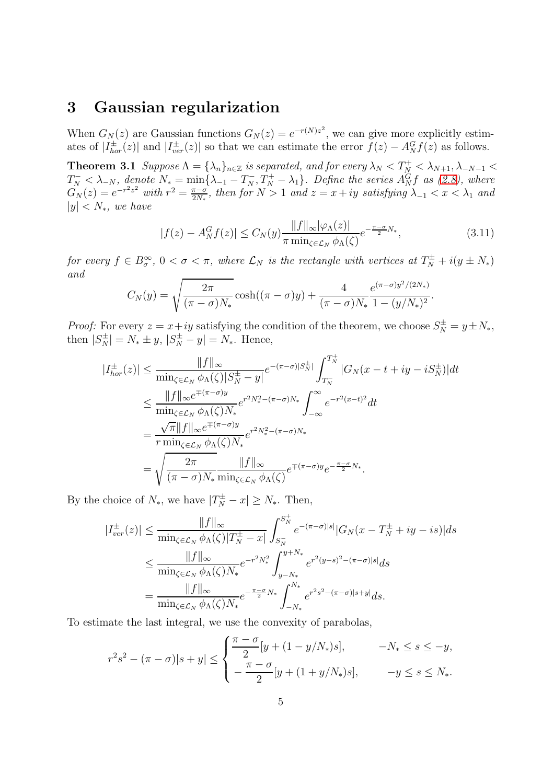### 3 Gaussian regularization

<span id="page-4-1"></span>When  $G_N(z)$  are Gaussian functions  $G_N(z) = e^{-r(N)z^2}$ , we can give more explicitly estimates of  $|I_{hor}^{\pm}(z)|$  and  $|I_{ver}^{\pm}(z)|$  so that we can estimate the error  $f(z) - A_N^G f(z)$  as follows.

**Theorem 3.1** Suppose  $\Lambda = {\lambda_n}_{n \in \mathbb{Z}}$  is separated, and for every  $\lambda_N < T_N^+ < \lambda_{N+1}, \lambda_{-N-1} <$  $T_N^- < \lambda_{-N}$ , denote  $N_* = \min\{\lambda_{-1} - T_N^-, T_N^+ - \lambda_1\}$ . Define the series  $A_N^G f$  as [\(2.8\)](#page-2-2), where  $G_N(z) = e^{-r^2 z^2}$  with  $r^2 = \frac{\pi - \sigma}{2N_s}$  $\frac{\pi-\sigma}{2N_*}$ , then for  $N>1$  and  $z=x+iy$  satisfying  $\lambda_{-1} < x < \lambda_1$  and  $|y| < N_*$ , we have

<span id="page-4-0"></span>
$$
|f(z) - A_N^G f(z)| \le C_N(y) \frac{\|f\|_{\infty} |\varphi_{\Lambda}(z)|}{\pi \min_{\zeta \in \mathcal{L}_N} \phi_{\Lambda}(\zeta)} e^{-\frac{\pi - \sigma}{2} N_*}, \tag{3.11}
$$

for every  $f \in B^{\infty}_{\sigma}$ ,  $0 < \sigma < \pi$ , where  $\mathcal{L}_N$  is the rectangle with vertices at  $T_N^{\pm} + i(y \pm N_*)$ and

$$
C_N(y) = \sqrt{\frac{2\pi}{(\pi - \sigma)N_*}} \cosh((\pi - \sigma)y) + \frac{4}{(\pi - \sigma)N_*} \frac{e^{(\pi - \sigma)y^2/(2N_*)}}{1 - (y/N_*)^2}.
$$

*Proof:* For every  $z = x + iy$  satisfying the condition of the theorem, we choose  $S_N^{\pm} = y \pm N_*,$ then  $|S_N^{\pm}| = N_* \pm y, |S_N^{\pm} - y| = N_*$ . Hence,

$$
|I_{hor}^{\pm}(z)| \leq \frac{||f||_{\infty}}{\min_{\zeta \in \mathcal{L}_N} \phi_{\Lambda}(\zeta)|S_N^{\pm} - y|} e^{-(\pi - \sigma)|S_N^{\pm}|} \int_{T_N^-}^{T_N^+} |G_N(x - t + iy - iS_N^{\pm})| dt
$$
  
\n
$$
\leq \frac{||f||_{\infty} e^{-(\pi - \sigma)y}}{\min_{\zeta \in \mathcal{L}_N} \phi_{\Lambda}(\zeta)N_*} e^{r^2 N_*^2 - (\pi - \sigma)N_*} \int_{-\infty}^{\infty} e^{-r^2 (x - t)^2} dt
$$
  
\n
$$
= \frac{\sqrt{\pi} ||f||_{\infty} e^{+(\pi - \sigma)y}}{r \min_{\zeta \in \mathcal{L}_N} \phi_{\Lambda}(\zeta)N_*} e^{r^2 N_*^2 - (\pi - \sigma)N_*}
$$
  
\n
$$
= \sqrt{\frac{2\pi}{(\pi - \sigma)N_*} \frac{||f||_{\infty}}{\min_{\zeta \in \mathcal{L}_N} \phi_{\Lambda}(\zeta)} e^{+(\pi - \sigma)y} e^{-\frac{\pi - \sigma}{2}N_*}.
$$

By the choice of  $N_*$ , we have  $|T_N^{\pm} - x| \ge N_*$ . Then,

$$
|I_{ver}^{\pm}(z)| \leq \frac{||f||_{\infty}}{\min_{\zeta \in \mathcal{L}_N} \phi_{\Lambda}(\zeta)|T_N^{\pm} - x|} \int_{S_N^{-}}^{S_N^{+}} e^{-(\pi - \sigma)|s|} |G_N(x - T_N^{\pm} + iy - is)| ds
$$
  

$$
\leq \frac{||f||_{\infty}}{\min_{\zeta \in \mathcal{L}_N} \phi_{\Lambda}(\zeta)N_*} e^{-r^2 N_*^2} \int_{y - N_*}^{y + N_*} e^{r^2 (y - s)^2 - (\pi - \sigma)|s|} ds
$$
  

$$
= \frac{||f||_{\infty}}{\min_{\zeta \in \mathcal{L}_N} \phi_{\Lambda}(\zeta)N_*} e^{-\frac{\pi - \sigma}{2} N_*} \int_{-N_*}^{N_*} e^{r^2 s^2 - (\pi - \sigma)|s + y|} ds.
$$

To estimate the last integral, we use the convexity of parabolas,

$$
r^{2}s^{2} - (\pi - \sigma)|s + y| \leq \begin{cases} \frac{\pi - \sigma}{2}[y + (1 - y/N_{*})s], & -N_{*} \leq s \leq -y, \\ -\frac{\pi - \sigma}{2}[y + (1 + y/N_{*})s], & -y \leq s \leq N_{*}. \end{cases}
$$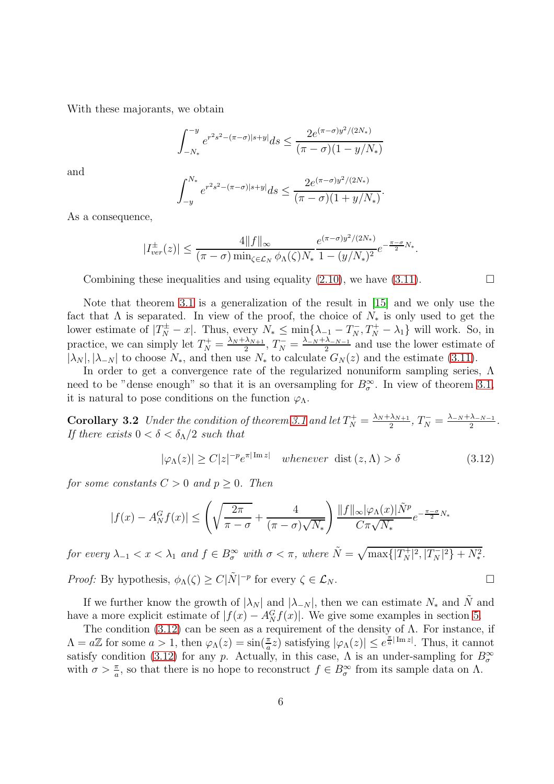With these majorants, we obtain

$$
\int_{-N_*}^{-y} e^{r^2 s^2 - (\pi - \sigma) |s + y|} ds \le \frac{2 e^{(\pi - \sigma) y^2 / (2N_*)}}{(\pi - \sigma) (1 - y/N_*)}
$$

and

$$
\int_{-y}^{N_*} e^{r^2 s^2 - (\pi - \sigma)|s + y|} ds \le \frac{2e^{(\pi - \sigma)y^2/(2N_*)}}{(\pi - \sigma)(1 + y/N_*)}.
$$

As a consequence,

$$
|I_{ver}^{\pm}(z)| \leq \frac{4||f||_{\infty}}{(\pi-\sigma)\min_{\zeta \in \mathcal{L}_N} \phi_{\Lambda}(\zeta)N_*} \frac{e^{(\pi-\sigma)y^2/(2N_*)}}{1-(y/N_*)^2} e^{-\frac{\pi-\sigma}{2}N_*}.
$$

Combining these inequalities and using equality [\(2.10\)](#page-3-0), we have [\(3.11\)](#page-4-0).  $\Box$ 

Note that theorem [3.1](#page-4-1) is a generalization of the result in [\[15\]](#page-14-5) and we only use the fact that  $\Lambda$  is separated. In view of the proof, the choice of  $N_*$  is only used to get the lower estimate of  $|T_N^{\pm} - x|$ . Thus, every  $N_* \le \min\{\lambda_{-1} - T_N^-, T_N^+ - \lambda_1\}$  will work. So, in practice, we can simply let  $T_N^+ = \frac{\lambda_N + \lambda_{N+1}}{2}$  $\frac{\lambda_{N+1}}{2}, T_N^- = \frac{\lambda_{-N} + \lambda_{-N-1}}{2}$  $\frac{\lambda N-1}{2}$  and use the lower estimate of  $|\lambda_N|, |\lambda_{-N}|$  to choose  $N_*$ , and then use  $N_*$  to calculate  $G_N(z)$  and the estimate [\(3.11\)](#page-4-0).

In order to get a convergence rate of the regularized nonuniform sampling series, Λ need to be "dense enough" so that it is an oversampling for  $B_{\sigma}^{\infty}$ . In view of theorem [3.1,](#page-4-1) it is natural to pose conditions on the function  $\varphi_{\Lambda}$ .

**Corollary 3.2** Under the condition of theorem [3.1](#page-4-1) and let  $T_N^+ = \frac{\lambda_N + \lambda_{N+1}}{2}$  $\frac{\lambda_{N+1}}{2}, T_N^- = \frac{\lambda_{-N} + \lambda_{-N-1}}{2}$  $\frac{\lambda_{-N-1}}{2}$ . If there exists  $0 < \delta < \delta_{\Lambda}/2$  such that

<span id="page-5-1"></span><span id="page-5-0"></span>
$$
|\varphi_{\Lambda}(z)| \ge C|z|^{-p}e^{\pi|\operatorname{Im} z|} \quad whenever \text{ dist}(z, \Lambda) > \delta \tag{3.12}
$$

for some constants  $C > 0$  and  $p > 0$ . Then

$$
|f(x) - A_N^G f(x)| \le \left(\sqrt{\frac{2\pi}{\pi - \sigma}} + \frac{4}{(\pi - \sigma)\sqrt{N_*}}\right) \frac{\|f\|_{\infty} |\varphi_{\Lambda}(x)| \tilde{N}^p}{C\pi \sqrt{N_*}} e^{-\frac{\pi - \sigma}{2} N_*}
$$

for every  $\lambda_{-1} < x < \lambda_1$  and  $f \in B^{\infty}_{\sigma}$  with  $\sigma < \pi$ , where  $\tilde{N} = \sqrt{\max\{|T^+_N|^2, |T^-_N|^2\} + N_*^2}$ .

*Proof:* By hypothesis,  $\phi_{\Lambda}(\zeta) \ge C|\tilde{N}|^{-p}$  for every  $\zeta \in \mathcal{L}_N$ .

If we further know the growth of  $|\lambda_N|$  and  $|\lambda_{-N}|$ , then we can estimate  $N_*$  and N and have a more explicit estimate of  $|f(x) - A_N^G f(x)|$ . We give some examples in section [5.](#page-10-0)

The condition  $(3.12)$  can be seen as a requirement of the density of  $\Lambda$ . For instance, if  $\Lambda = a\mathbb{Z}$  for some  $a > 1$ , then  $\varphi_{\Lambda}(z) = \sin(\frac{\pi}{a}z)$  satisfying  $|\varphi_{\Lambda}(z)| \leq e^{\frac{\pi}{a}|\operatorname{Im} z|}$ . Thus, it cannot satisfy condition [\(3.12\)](#page-5-0) for any p. Actually, in this case,  $\Lambda$  is an under-sampling for  $B_{\sigma}^{\infty}$ with  $\sigma > \frac{\pi}{a}$ , so that there is no hope to reconstruct  $f \in B_{\sigma}^{\infty}$  from its sample data on  $\Lambda$ .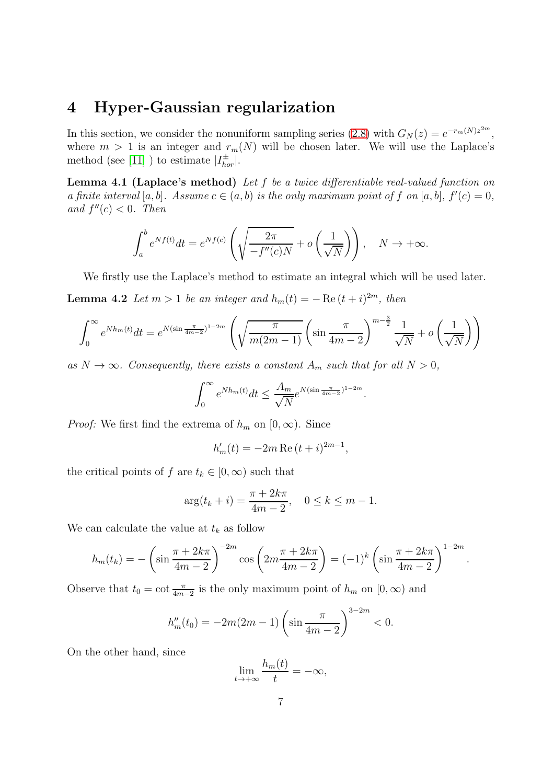# 4 Hyper-Gaussian regularization

In this section, we consider the nonuniform sampling series [\(2.8\)](#page-2-2) with  $G_N(z) = e^{-r_m(N)z^{2m}}$ , where  $m > 1$  is an integer and  $r_m(N)$  will be chosen later. We will use the Laplace's method (see [11] ) to estimate  $|I_{hor}^{\pm}|$ .

Lemma 4.1 (Laplace's method) Let f be a twice differentiable real-valued function on a finite interval [a, b]. Assume  $c \in (a, b)$  is the only maximum point of f on [a, b],  $f'(c) = 0$ , and  $f''(c) < 0$ . Then

<span id="page-6-0"></span>
$$
\int_{a}^{b} e^{Nf(t)} dt = e^{Nf(c)} \left( \sqrt{\frac{2\pi}{-f''(c)N}} + o\left(\frac{1}{\sqrt{N}}\right) \right), \quad N \to +\infty.
$$

We firstly use the Laplace's method to estimate an integral which will be used later.

**Lemma 4.2** Let  $m > 1$  be an integer and  $h_m(t) = -\operatorname{Re}(t + i)^{2m}$ , then

$$
\int_0^{\infty} e^{N h_m(t)} dt = e^{N (\sin \frac{\pi}{4m-2})^{1-2m}} \left( \sqrt{\frac{\pi}{m(2m-1)}} \left( \sin \frac{\pi}{4m-2} \right)^{m-\frac{3}{2}} \frac{1}{\sqrt{N}} + o \left( \frac{1}{\sqrt{N}} \right) \right)
$$

as  $N \to \infty$ . Consequently, there exists a constant  $A_m$  such that for all  $N > 0$ ,

<span id="page-6-1"></span>
$$
\int_0^\infty e^{Nh_m(t)}dt \le \frac{A_m}{\sqrt{N}}e^{N(\sin\frac{\pi}{4m-2})^{1-2m}}.
$$

*Proof:* We first find the extrema of  $h_m$  on  $[0, \infty)$ . Since

$$
h'_m(t) = -2m \operatorname{Re}\,(t+i)^{2m-1},
$$

the critical points of f are  $t_k \in [0, \infty)$  such that

$$
\arg(t_k + i) = \frac{\pi + 2k\pi}{4m - 2}, \quad 0 \le k \le m - 1.
$$

We can calculate the value at  $t_k$  as follow

$$
h_m(t_k) = -\left(\sin\frac{\pi + 2k\pi}{4m - 2}\right)^{-2m} \cos\left(2m\frac{\pi + 2k\pi}{4m - 2}\right) = (-1)^k \left(\sin\frac{\pi + 2k\pi}{4m - 2}\right)^{1 - 2m}.
$$

Observe that  $t_0 = \cot \frac{\pi}{4m-2}$  is the only maximum point of  $h_m$  on  $[0, \infty)$  and

$$
h''_m(t_0) = -2m(2m-1)\left(\sin\frac{\pi}{4m-2}\right)^{3-2m} < 0.
$$

On the other hand, since

$$
\lim_{t \to +\infty} \frac{h_m(t)}{t} = -\infty,
$$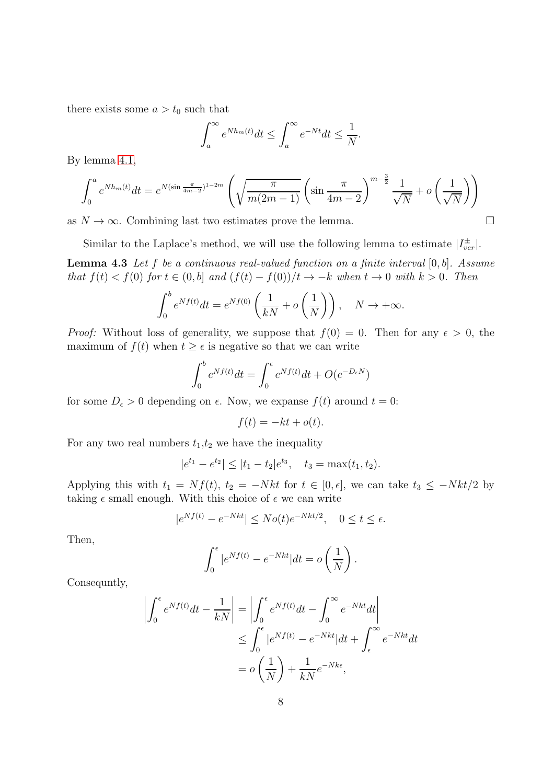there exists some  $a > t_0$  such that

$$
\int_{a}^{\infty} e^{N h_m(t)} dt \le \int_{a}^{\infty} e^{-Nt} dt \le \frac{1}{N}.
$$

By lemma [4.1,](#page-6-0)

$$
\int_0^a e^{N h_m(t)} dt = e^{N (\sin \frac{\pi}{4m-2})^{1-2m}} \left( \sqrt{\frac{\pi}{m(2m-1)}} \left( \sin \frac{\pi}{4m-2} \right)^{m-\frac{3}{2}} \frac{1}{\sqrt{N}} + o \left( \frac{1}{\sqrt{N}} \right) \right)
$$

as  $N \to \infty$ . Combining last two estimates prove the lemma.

Similar to the Laplace's method, we will use the following lemma to estimate  $|I_{ver}^{\pm}|$ .

**Lemma 4.3** Let f be a continuous real-valued function on a finite interval  $[0, b]$ . Assume that  $f(t) < f(0)$  for  $t \in (0, b]$  and  $(f(t) - f(0))/t \to -k$  when  $t \to 0$  with  $k > 0$ . Then

$$
\int_0^b e^{Nf(t)}dt = e^{Nf(0)}\left(\frac{1}{kN} + o\left(\frac{1}{N}\right)\right), \quad N \to +\infty.
$$

*Proof:* Without loss of generality, we suppose that  $f(0) = 0$ . Then for any  $\epsilon > 0$ , the maximum of  $f(t)$  when  $t \geq \epsilon$  is negative so that we can write

$$
\int_0^b e^{Nf(t)}dt = \int_0^\epsilon e^{Nf(t)}dt + O(e^{-D_\epsilon N})
$$

for some  $D_{\epsilon} > 0$  depending on  $\epsilon$ . Now, we expanse  $f(t)$  around  $t = 0$ :

<span id="page-7-0"></span>
$$
f(t) = -kt + o(t).
$$

For any two real numbers  $t_1, t_2$  we have the inequality

$$
|e^{t_1}-e^{t_2}| \le |t_1-t_2|e^{t_3}, \quad t_3=\max(t_1,t_2).
$$

Applying this with  $t_1 = Nf(t)$ ,  $t_2 = -Nkt$  for  $t \in [0, \epsilon]$ , we can take  $t_3 \le -Nkt/2$  by taking  $\epsilon$  small enough. With this choice of  $\epsilon$  we can write

$$
|e^{Nf(t)} - e^{-Nkt}| \leq No(t)e^{-Nkt/2}, \quad 0 \leq t \leq \epsilon.
$$

Then,

$$
\int_0^{\epsilon} |e^{Nf(t)} - e^{-Nkt}| dt = o\left(\frac{1}{N}\right).
$$

Consequntly,

$$
\left| \int_0^{\epsilon} e^{Nf(t)} dt - \frac{1}{kN} \right| = \left| \int_0^{\epsilon} e^{Nf(t)} dt - \int_0^{\infty} e^{-Nkt} dt \right|
$$
  
\n
$$
\leq \int_0^{\epsilon} |e^{Nf(t)} - e^{-Nkt}| dt + \int_{\epsilon}^{\infty} e^{-Nkt} dt
$$
  
\n
$$
= o\left(\frac{1}{N}\right) + \frac{1}{kN} e^{-Nk\epsilon},
$$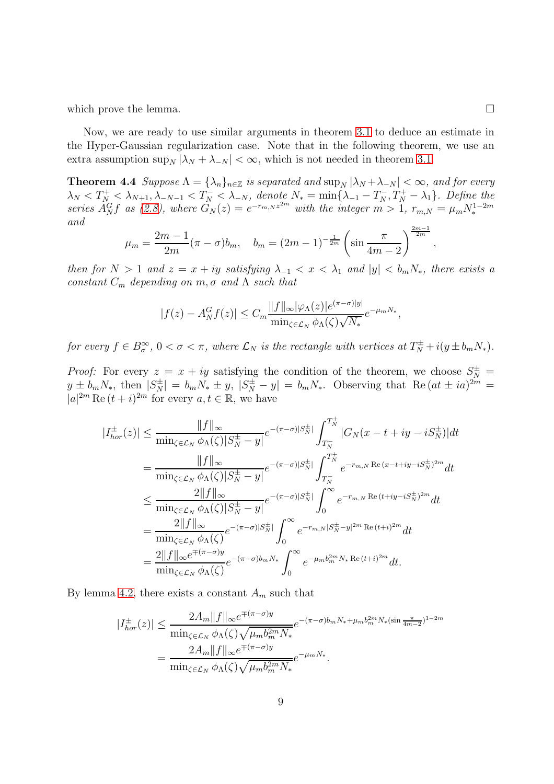which prove the lemma.  $\Box$ 

Now, we are ready to use similar arguments in theorem [3.1](#page-4-1) to deduce an estimate in the Hyper-Gaussian regularization case. Note that in the following theorem, we use an extra assumption  $\sup_N |\lambda_N + \lambda_{-N}| < \infty$ , which is not needed in theorem [3.1.](#page-4-1)

<span id="page-8-0"></span>**Theorem 4.4** Suppose  $\Lambda = {\lambda_n}_{n \in \mathbb{Z}}$  is separated and  $\sup_N |\lambda_N + \lambda_{-N}| < \infty$ , and for every  $\lambda_N < T_N^+ < \lambda_{N+1}, \lambda_{-N-1} < T_N^- < \lambda_{-N}, \text{ denote } N_* = \min\{\lambda_{-1} - T_N^-, T_N^+ - \lambda_1\}.$  Define the series  $\hat{A}_{N}^{G}f$  as [\(2.8\)](#page-2-2), where  $\hat{G}_{N}(z) = e^{-r_{m,N}z^{2m}}$  with the integer  $m > 1$ ,  $r_{m,N} = \mu_m N_*^{1-2m}$ and  $2m-1$ 

$$
\mu_m = \frac{2m-1}{2m} (\pi - \sigma) b_m, \quad b_m = (2m-1)^{-\frac{1}{2m}} \left( \sin \frac{\pi}{4m-2} \right)^{\frac{2m-1}{2m}}
$$

then for  $N > 1$  and  $z = x + iy$  satisfying  $\lambda_{-1} < x < \lambda_1$  and  $|y| < b_m N_*$ , there exists a constant  $C_m$  depending on  $m, \sigma$  and  $\Lambda$  such that

$$
|f(z) - A_N^G f(z)| \le C_m \frac{\|f\|_{\infty} |\varphi_{\Lambda}(z)| e^{(\pi - \sigma)|y|}}{\min_{\zeta \in \mathcal{L}_N} \phi_{\Lambda}(\zeta) \sqrt{N_*}} e^{-\mu_m N_*},
$$

for every  $f \in B^{\infty}_{\sigma}$ ,  $0 < \sigma < \pi$ , where  $\mathcal{L}_N$  is the rectangle with vertices at  $T^{\pm}_N + i(y \pm b_m N_*)$ .

*Proof:* For every  $z = x + iy$  satisfying the condition of the theorem, we choose  $S_N^{\pm}$  $y \pm b_m N_*$ , then  $|S_N^{\pm}| = b_m N_* \pm y$ ,  $|S_N^{\pm} - y| = b_m N_*$ . Observing that  $\text{Re}(at \pm ia)^{2m} =$  $|a|^{2m}$  Re  $(t + i)^{2m}$  for every  $a, t \in \mathbb{R}$ , we have

$$
|I_{hor}^{\pm}(z)| \leq \frac{||f||_{\infty}}{\min_{\zeta \in \mathcal{L}_N} \phi_{\Lambda}(\zeta)|S_N^{\pm} - y|} e^{-(\pi - \sigma)|S_N^{\pm}|} \int_{T_N^-}^{T_N^+} |G_N(x - t + iy - iS_N^{\pm})| dt
$$
  
\n
$$
= \frac{||f||_{\infty}}{\min_{\zeta \in \mathcal{L}_N} \phi_{\Lambda}(\zeta)|S_N^{\pm} - y|} e^{-(\pi - \sigma)|S_N^{\pm}|} \int_{T_N^-}^{T_N^+} e^{-r_{m,N} \operatorname{Re}(x - t + iy - iS_N^{\pm})^{2m}} dt
$$
  
\n
$$
\leq \frac{2||f||_{\infty}}{\min_{\zeta \in \mathcal{L}_N} \phi_{\Lambda}(\zeta)|S_N^{\pm} - y|} e^{-(\pi - \sigma)|S_N^{\pm}|} \int_0^{\infty} e^{-r_{m,N} \operatorname{Re}(t + iy - iS_N^{\pm})^{2m}} dt
$$
  
\n
$$
= \frac{2||f||_{\infty}}{\min_{\zeta \in \mathcal{L}_N} \phi_{\Lambda}(\zeta)} e^{-(\pi - \sigma)|S_N^{\pm}|} \int_0^{\infty} e^{-r_{m,N}|S_N^{\pm} - y|^{2m} \operatorname{Re}(t + i)^{2m}} dt
$$
  
\n
$$
= \frac{2||f||_{\infty} e^{\mp(\pi - \sigma)y}}{\min_{\zeta \in \mathcal{L}_N} \phi_{\Lambda}(\zeta)} e^{-(\pi - \sigma)b_m N_{*}} \int_0^{\infty} e^{-\mu_m b_m^{2m} N_{*} \operatorname{Re}(t + i)^{2m}} dt.
$$

By lemma [4.2,](#page-6-1) there exists a constant  $A_m$  such that

$$
|I_{hor}^{\pm}(z)| \leq \frac{2A_m \|f\|_{\infty} e^{\mp(\pi-\sigma)y}}{\min_{\zeta \in \mathcal{L}_N} \phi_{\Lambda}(\zeta) \sqrt{\mu_m b_m^{2m} N_*}} e^{-(\pi-\sigma)b_m N_* + \mu_m b_m^{2m} N_* (\sin \frac{\pi}{4m-2})^{1-2m}}
$$

$$
= \frac{2A_m \|f\|_{\infty} e^{\mp(\pi-\sigma)y}}{\min_{\zeta \in \mathcal{L}_N} \phi_{\Lambda}(\zeta) \sqrt{\mu_m b_m^{2m} N_*}} e^{-\mu_m N_*}.
$$

,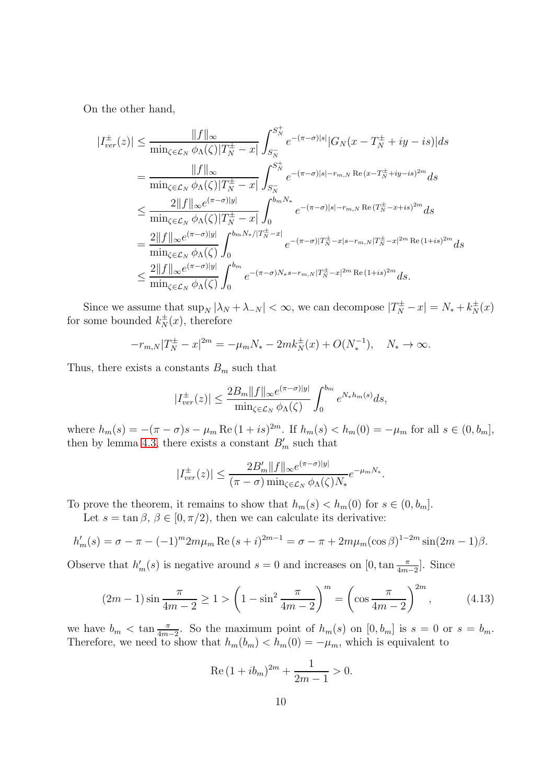On the other hand,

$$
|I_{ver}^{\pm}(z)| \leq \frac{||f||_{\infty}}{\min_{\zeta \in \mathcal{L}_N} \phi_{\Lambda}(\zeta)|T_N^{\pm} - x|} \int_{S_N^{-}}^{S_N^{+}} e^{-(\pi - \sigma)|s|} |G_N(x - T_N^{\pm} + iy - is)| ds
$$
  
\n
$$
= \frac{||f||_{\infty}}{\min_{\zeta \in \mathcal{L}_N} \phi_{\Lambda}(\zeta)|T_N^{\pm} - x|} \int_{S_N^{-}}^{S_N^{+}} e^{-(\pi - \sigma)|s| - r_{m,N} \operatorname{Re}(x - T_N^{\pm} + iy - is)^{2m}} ds
$$
  
\n
$$
\leq \frac{2||f||_{\infty} e^{(\pi - \sigma)|y|}}{\min_{\zeta \in \mathcal{L}_N} \phi_{\Lambda}(\zeta)|T_N^{\pm} - x|} \int_0^{b_m N_*} e^{-(\pi - \sigma)|s| - r_{m,N} \operatorname{Re}(T_N^{\pm} - x + is)^{2m}} ds
$$
  
\n
$$
= \frac{2||f||_{\infty} e^{(\pi - \sigma)|y|}}{\min_{\zeta \in \mathcal{L}_N} \phi_{\Lambda}(\zeta)} \int_0^{b_m N_*/|T_N^{\pm} - x|} e^{-(\pi - \sigma)|T_N^{\pm} - x|s - r_{m,N}|T_N^{\pm} - x|^{2m} \operatorname{Re}(1 + is)^{2m}} ds
$$
  
\n
$$
\leq \frac{2||f||_{\infty} e^{(\pi - \sigma)|y|}}{\min_{\zeta \in \mathcal{L}_N} \phi_{\Lambda}(\zeta)} \int_0^{b_m} e^{-(\pi - \sigma)N_*s - r_{m,N}|T_N^{\pm} - x|^{2m} \operatorname{Re}(1 + is)^{2m}} ds.
$$

Since we assume that  $\sup_N |\lambda_N + \lambda_{-N}| < \infty$ , we can decompose  $|T_N^{\pm} - x| = N_* + k_N^{\pm}(x)$ for some bounded  $k_N^{\pm}(x)$ , therefore

$$
-r_{m,N}|T_N^{\pm} - x|^{2m} = -\mu_m N_* - 2mk_N^{\pm}(x) + O(N_*^{-1}), \quad N_* \to \infty.
$$

Thus, there exists a constants  $B_m$  such that

$$
|I_{ver}^{\pm}(z)| \le \frac{2B_m \|f\|_{\infty} e^{(\pi-\sigma)|y|}}{\min_{\zeta \in \mathcal{L}_N} \phi_{\Lambda}(\zeta)} \int_0^{b_m} e^{N_*h_m(s)} ds,
$$

where  $h_m(s) = -(\pi - \sigma)s - \mu_m \operatorname{Re}(1 + is)^{2m}$ . If  $h_m(s) < h_m(0) = -\mu_m$  for all  $s \in (0, b_m]$ , then by lemma [4.3,](#page-7-0) there exists a constant  $B'_m$  such that

$$
|I_{ver}^{\pm}(z)| \leq \frac{2B_m' ||f||_{\infty}e^{(\pi-\sigma)|y|}}{(\pi-\sigma)\min_{\zeta \in \mathcal{L}_N} \phi_{\Lambda}(\zeta)N_*}e^{-\mu_m N_*}.
$$

To prove the theorem, it remains to show that  $h_m(s) < h_m(0)$  for  $s \in (0, b_m]$ .

Let  $s = \tan \beta$ ,  $\beta \in [0, \pi/2)$ , then we can calculate its derivative:

$$
h'_m(s) = \sigma - \pi - (-1)^m 2m\mu_m \operatorname{Re}(s+i)^{2m-1} = \sigma - \pi + 2m\mu_m(\cos\beta)^{1-2m}\sin(2m-1)\beta.
$$

Observe that  $h'_m(s)$  is negative around  $s = 0$  and increases on  $[0, \tan \frac{\pi}{4m-2}]$ . Since

<span id="page-9-0"></span>
$$
(2m-1)\sin\frac{\pi}{4m-2} \ge 1 > \left(1 - \sin^2\frac{\pi}{4m-2}\right)^m = \left(\cos\frac{\pi}{4m-2}\right)^{2m},\tag{4.13}
$$

we have  $b_m < \tan \frac{\pi}{4m-2}$ . So the maximum point of  $h_m(s)$  on  $[0, b_m]$  is  $s = 0$  or  $s = b_m$ . Therefore, we need to show that  $h_m(b_m) < h_m(0) = -\mu_m$ , which is equivalent to

Re 
$$
(1 + ib_m)^{2m} + \frac{1}{2m - 1} > 0
$$
.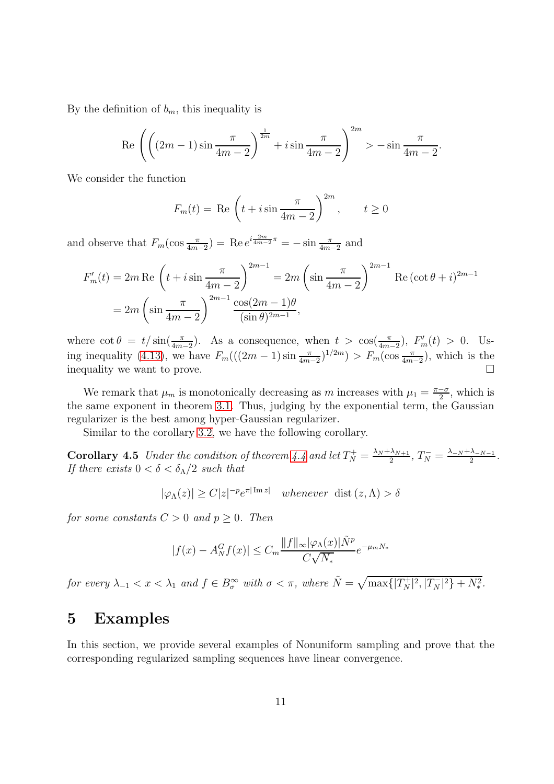By the definition of  $b_m$ , this inequality is

$$
\operatorname{Re}\left(\left((2m-1)\sin\frac{\pi}{4m-2}\right)^{\frac{1}{2m}} + i\sin\frac{\pi}{4m-2}\right)^{2m} > -\sin\frac{\pi}{4m-2}.
$$

We consider the function

$$
F_m(t) = \text{Re}\left(t + i\sin\frac{\pi}{4m - 2}\right)^{2m}, \qquad t \ge 0
$$

and observe that  $F_m(\cos\frac{\pi}{4m-2}) = \text{Re }e^{i\frac{2m}{4m-2}\pi} = -\sin\frac{\pi}{4m-2}$  and

$$
F'_{m}(t) = 2m \operatorname{Re} \left( t + i \sin \frac{\pi}{4m - 2} \right)^{2m - 1} = 2m \left( \sin \frac{\pi}{4m - 2} \right)^{2m - 1} \operatorname{Re} (\cot \theta + i)^{2m - 1}
$$

$$
= 2m \left( \sin \frac{\pi}{4m - 2} \right)^{2m - 1} \frac{\cos(2m - 1)\theta}{(\sin \theta)^{2m - 1}},
$$

where  $\cot \theta = t / \sin(\frac{\pi}{4m-2})$ . As a consequence, when  $t > \cos(\frac{\pi}{4m-2})$ ,  $F'_m(t) > 0$ . Us-ing inequality [\(4.13\)](#page-9-0), we have  $F_m(((2m-1)\sin{\frac{\pi}{4m-2}})^{1/2m}) > F_m(\cos{\frac{\pi}{4m-2}})$ , which is the inequality we want to prove.

We remark that  $\mu_m$  is monotonically decreasing as m increases with  $\mu_1 = \frac{\pi - \sigma}{2}$  $\frac{-\sigma}{2}$ , which is the same exponent in theorem [3.1.](#page-4-1) Thus, judging by the exponential term, the Gaussian regularizer is the best among hyper-Gaussian regularizer.

Similar to the corollary [3.2,](#page-5-1) we have the following corollary.

**Corollary 4.5** Under the condition of theorem [4.4](#page-8-0) and let  $T_N^+ = \frac{\lambda_N + \lambda_{N+1}}{2}$  $\frac{\lambda_{N+1}}{2}, T_N^- = \frac{\lambda_{-N} + \lambda_{-N-1}}{2}$  $\frac{\lambda_{-N-1}}{2}$ . If there exists  $0 < \delta < \delta_{\Lambda}/2$  such that

$$
|\varphi_{\Lambda}(z)| \ge C|z|^{-p}e^{\pi|\operatorname{Im} z|} \quad whenever \text{ dist}(z,\Lambda) > \delta
$$

for some constants  $C > 0$  and  $p \ge 0$ . Then

$$
|f(x) - A_N^G f(x)| \le C_m \frac{\|f\|_{\infty} |\varphi_{\Lambda}(x)| \tilde{N}^p}{C\sqrt{N_*}} e^{-\mu_m N_*}
$$

for every  $\lambda_{-1} < x < \lambda_1$  and  $f \in B^{\infty}_{\sigma}$  with  $\sigma < \pi$ , where  $\tilde{N} = \sqrt{\max\{|T^+_N|^2, |T^-_N|^2\} + N_*^2}$ .

## <span id="page-10-0"></span>5 Examples

In this section, we provide several examples of Nonuniform sampling and prove that the corresponding regularized sampling sequences have linear convergence.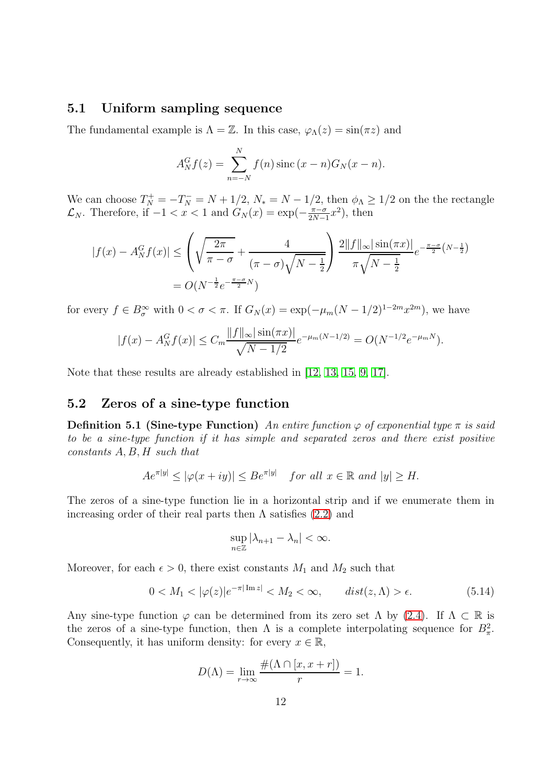#### 5.1 Uniform sampling sequence

The fundamental example is  $\Lambda = \mathbb{Z}$ . In this case,  $\varphi_{\Lambda}(z) = \sin(\pi z)$  and

$$
A_N^G f(z) = \sum_{n=-N}^N f(n) \operatorname{sinc} (x - n) G_N(x - n).
$$

We can choose  $T_N^+ = -T_N^- = N + 1/2$ ,  $N_* = N - 1/2$ , then  $\phi_{\Lambda} \geq 1/2$  on the the rectangle  $\mathcal{L}_N$ . Therefore, if  $-1 < x < 1$  and  $G_N(x) = \exp(-\frac{\pi - \sigma}{2N - 1})$  $\frac{\pi-\sigma}{2N-1}x^2$ , then

$$
|f(x) - A_N^G f(x)| \le \left(\sqrt{\frac{2\pi}{\pi - \sigma}} + \frac{4}{(\pi - \sigma)\sqrt{N - \frac{1}{2}}}\right) \frac{2||f||_{\infty}|\sin(\pi x)|}{\pi\sqrt{N - \frac{1}{2}}} e^{-\frac{\pi - \sigma}{2}(N - \frac{1}{2})}
$$
  
=  $O(N^{-\frac{1}{2}}e^{-\frac{\pi - \sigma}{2}N})$ 

for every  $f \in B^{\infty}_{\sigma}$  with  $0 < \sigma < \pi$ . If  $G_N(x) = \exp(-\mu_m(N-1/2)^{1-2m}x^{2m})$ , we have

$$
|f(x) - A_N^G f(x)| \le C_m \frac{\|f\|_{\infty} |\sin(\pi x)|}{\sqrt{N - 1/2}} e^{-\mu_m (N - 1/2)} = O(N^{-1/2} e^{-\mu_m N}).
$$

Note that these results are already established in [\[12,](#page-14-3) [13,](#page-14-4) [15,](#page-14-5) [9,](#page-14-6) [17\]](#page-14-7).

### 5.2 Zeros of a sine-type function

**Definition 5.1 (Sine-type Function)** An entire function  $\varphi$  of exponential type  $\pi$  is said to be a sine-type function if it has simple and separated zeros and there exist positive  $constants A, B, H such that$ 

$$
Ae^{\pi|y|} \le |\varphi(x+iy)| \le Be^{\pi|y|} \quad \text{for all } x \in \mathbb{R} \text{ and } |y| \ge H.
$$

The zeros of a sine-type function lie in a horizontal strip and if we enumerate them in increasing order of their real parts then  $\Lambda$  satisfies [\(2.2\)](#page-2-3) and

$$
\sup_{n\in\mathbb{Z}}|\lambda_{n+1}-\lambda_n|<\infty.
$$

Moreover, for each  $\epsilon > 0$ , there exist constants  $M_1$  and  $M_2$  such that

<span id="page-11-0"></span>
$$
0 < M_1 < |\varphi(z)|e^{-\pi|\operatorname{Im} z|} < M_2 < \infty, \qquad dist(z, \Lambda) > \epsilon. \tag{5.14}
$$

Any sine-type function  $\varphi$  can be determined from its zero set  $\Lambda$  by [\(2.4\)](#page-2-4). If  $\Lambda \subset \mathbb{R}$  is the zeros of a sine-type function, then  $\Lambda$  is a complete interpolating sequence for  $B_{\pi}^2$ . Consequently, it has uniform density: for every  $x \in \mathbb{R}$ ,

$$
D(\Lambda) = \lim_{r \to \infty} \frac{\#(\Lambda \cap [x, x+r])}{r} = 1.
$$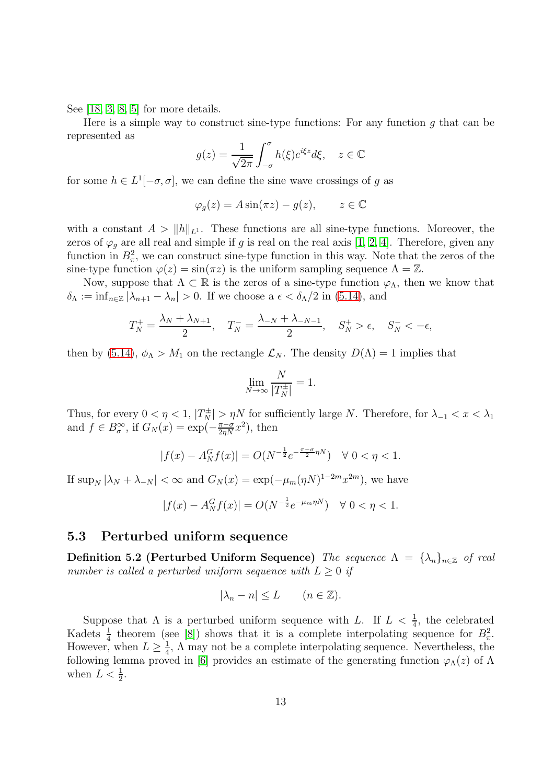See [\[18,](#page-14-8) [3,](#page-14-9) [8,](#page-14-10) [5\]](#page-14-11) for more details.

Here is a simple way to construct sine-type functions: For any function  $g$  that can be represented as

$$
g(z) = \frac{1}{\sqrt{2\pi}} \int_{-\sigma}^{\sigma} h(\xi) e^{i\xi z} d\xi, \quad z \in \mathbb{C}
$$

for some  $h \in L^1[-\sigma, \sigma]$ , we can define the sine wave crossings of g as

$$
\varphi_g(z) = A \sin(\pi z) - g(z), \qquad z \in \mathbb{C}
$$

with a constant  $A > ||h||_{L^1}$ . These functions are all sine-type functions. Moreover, the zeros of  $\varphi_q$  are all real and simple if g is real on the real axis [1, 2, 4]. Therefore, given any function in  $B_{\pi}^2$ , we can construct sine-type function in this way. Note that the zeros of the sine-type function  $\varphi(z) = \sin(\pi z)$  is the uniform sampling sequence  $\Lambda = \mathbb{Z}$ .

Now, suppose that  $\Lambda \subset \mathbb{R}$  is the zeros of a sine-type function  $\varphi_{\Lambda}$ , then we know that  $\delta_{\Lambda} := \inf_{n \in \mathbb{Z}} |\lambda_{n+1} - \lambda_n| > 0$ . If we choose a  $\epsilon < \delta_{\Lambda}/2$  in [\(5.14\)](#page-11-0), and

$$
T_N^+ = \frac{\lambda_N + \lambda_{N+1}}{2}, \quad T_N^- = \frac{\lambda_{-N} + \lambda_{-N-1}}{2}, \quad S_N^+ > \epsilon, \quad S_N^- < -\epsilon,
$$

then by [\(5.14\)](#page-11-0),  $\phi_{\Lambda} > M_1$  on the rectangle  $\mathcal{L}_N$ . The density  $D(\Lambda) = 1$  implies that

$$
\lim_{N \to \infty} \frac{N}{|T_N^{\pm}|} = 1.
$$

Thus, for every  $0 < \eta < 1$ ,  $|T_N^{\pm}| > \eta N$  for sufficiently large N. Therefore, for  $\lambda_{-1} < x < \lambda_1$ and  $f \in B^{\infty}_{\sigma}$ , if  $G_N(x) = \exp(-\frac{\pi - \sigma}{2\eta N}x^2)$ , then

$$
|f(x) - A_N^G f(x)| = O(N^{-\frac{1}{2}} e^{-\frac{\pi - \sigma}{2}\eta N}) \quad \forall \ 0 < \eta < 1.
$$

If  $\sup_N |\lambda_N + \lambda_{-N}| < \infty$  and  $G_N(x) = \exp(-\mu_m(\eta N)^{1-2m} x^{2m})$ , we have

$$
|f(x) - A_N^G f(x)| = O(N^{-\frac{1}{2}} e^{-\mu_m \eta N}) \quad \forall \ 0 < \eta < 1.
$$

#### 5.3 Perturbed uniform sequence

Definition 5.2 (Perturbed Uniform Sequence) The sequence  $\Lambda = {\lambda_n}_{n \in \mathbb{Z}}$  of real number is called a perturbed uniform sequence with  $L \geq 0$  if

$$
|\lambda_n - n| \le L \qquad (n \in \mathbb{Z}).
$$

<span id="page-12-0"></span>Suppose that  $\Lambda$  is a perturbed uniform sequence with L. If  $L < \frac{1}{4}$ , the celebrated Kadets  $\frac{1}{4}$  theorem (see [\[8\]](#page-14-10)) shows that it is a complete interpolating sequence for  $B_{\pi}^2$ . However, when  $L \geq \frac{1}{4}$  $\frac{1}{4}$ ,  $\Lambda$  may not be a complete interpolating sequence. Nevertheless, the following lemma proved in [\[6\]](#page-14-12) provides an estimate of the generating function  $\varphi_{\Lambda}(z)$  of  $\Lambda$ when  $L < \frac{1}{2}$ .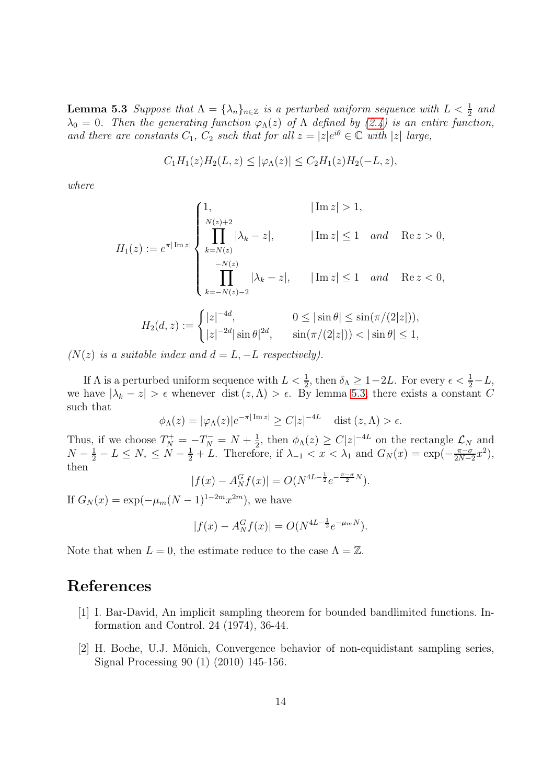**Lemma 5.3** Suppose that  $\Lambda = {\lambda_n}_{n \in \mathbb{Z}}$  is a perturbed uniform sequence with  $L < \frac{1}{2}$  and  $\lambda_0 = 0$ . Then the generating function  $\varphi_{\Lambda}(z)$  of  $\Lambda$  defined by  $(2.4)$  is an entire function, and there are constants  $C_1$ ,  $C_2$  such that for all  $z = |z|e^{i\theta} \in \mathbb{C}$  with |z| large,

$$
C_1H_1(z)H_2(L, z) \le |\varphi_{\Lambda}(z)| \le C_2H_1(z)H_2(-L, z),
$$

where

$$
H_1(z) := e^{\pi |\operatorname{Im} z|} \begin{cases} 1, & |\operatorname{Im} z| > 1, \\ \prod_{k=N(z)}^{\lfloor N(z)+2 \rfloor} |\lambda_k - z|, & |\operatorname{Im} z| \le 1 \quad and \quad \operatorname{Re} z > 0, \\ \prod_{k=-N(z)-2}^{-N(z)} |\lambda_k - z|, & |\operatorname{Im} z| \le 1 \quad and \quad \operatorname{Re} z < 0, \\ \prod_{k=-N(z)-2}^{-N(z)} |\lambda_k - z|, & 0 \le |\sin \theta| \le \sin(\pi/(2|z|)), \\ |z|^{-2d} |\sin \theta|^{2d}, & \sin(\pi/(2|z|)) < |\sin \theta| \le 1, \end{cases}
$$

 $(N(z)$  is a suitable index and  $d = L, -L$  respectively).

If  $\Lambda$  is a perturbed uniform sequence with  $L < \frac{1}{2}$ , then  $\delta_{\Lambda} \geq 1 - 2L$ . For every  $\epsilon < \frac{1}{2} - L$ , we have  $|\lambda_k - z| > \epsilon$  whenever dist  $(z, \Lambda) > \epsilon$ . By lemma [5.3,](#page-12-0) there exists a constant C such that

$$
\phi_{\Lambda}(z) = |\varphi_{\Lambda}(z)|e^{-\pi|\operatorname{Im} z|} \ge C|z|^{-4L} \quad \text{dist}(z,\Lambda) > \epsilon.
$$

Thus, if we choose  $T_N^+ = -T_N^- = N + \frac{1}{2}$  $\frac{1}{2}$ , then  $\phi_{\Lambda}(z) \geq C|z|^{-4L}$  on the rectangle  $\mathcal{L}_N$  and  $N - \frac{1}{2} - L \leq N_* \leq N - \frac{1}{2} + L$ . Therefore, if  $\lambda_{-1} < x < \lambda_1$  and  $G_N(x) = \exp(-\frac{\pi - \sigma}{2N - 1})$  $\frac{\pi-\sigma}{2N-2}x^2$ , then

$$
|f(x) - A_N^G f(x)| = O(N^{4L - \frac{1}{2}} e^{-\frac{\pi - \sigma}{2}N}).
$$

If  $G_N(x) = \exp(-\mu_m (N-1)^{1-2m} x^{2m})$ , we have

$$
|f(x) - A_N^G f(x)| = O(N^{4L - \frac{1}{2}} e^{-\mu_m N}).
$$

Note that when  $L = 0$ , the estimate reduce to the case  $\Lambda = \mathbb{Z}$ .

### References

- [1] I. Bar-David, An implicit sampling theorem for bounded bandlimited functions. Information and Control. 24 (1974), 36-44.
- [2] H. Boche, U.J. Mönich, Convergence behavior of non-equidistant sampling series, Signal Processing 90 (1) (2010) 145-156.